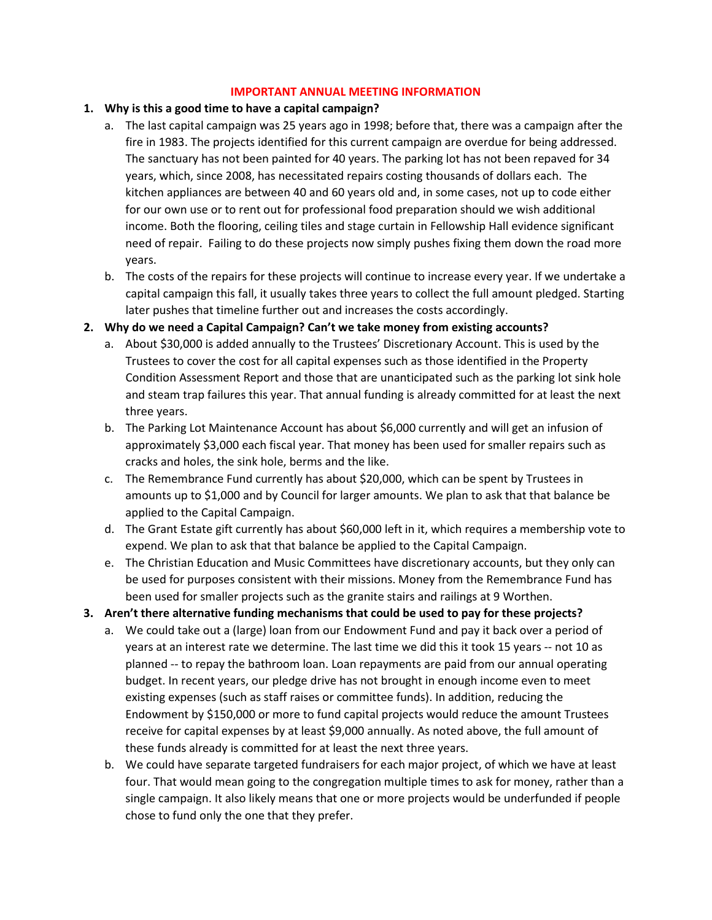## **IMPORTANT ANNUAL MEETING INFORMATION**

## **1. Why is this a good time to have a capital campaign?**

- a. The last capital campaign was 25 years ago in 1998; before that, there was a campaign after the fire in 1983. The projects identified for this current campaign are overdue for being addressed. The sanctuary has not been painted for 40 years. The parking lot has not been repaved for 34 years, which, since 2008, has necessitated repairs costing thousands of dollars each. The kitchen appliances are between 40 and 60 years old and, in some cases, not up to code either for our own use or to rent out for professional food preparation should we wish additional income. Both the flooring, ceiling tiles and stage curtain in Fellowship Hall evidence significant need of repair. Failing to do these projects now simply pushes fixing them down the road more years.
- b. The costs of the repairs for these projects will continue to increase every year. If we undertake a capital campaign this fall, it usually takes three years to collect the full amount pledged. Starting later pushes that timeline further out and increases the costs accordingly.

## **2. Why do we need a Capital Campaign? Can't we take money from existing accounts?**

- a. About \$30,000 is added annually to the Trustees' Discretionary Account. This is used by the Trustees to cover the cost for all capital expenses such as those identified in the Property Condition Assessment Report and those that are unanticipated such as the parking lot sink hole and steam trap failures this year. That annual funding is already committed for at least the next three years.
- b. The Parking Lot Maintenance Account has about \$6,000 currently and will get an infusion of approximately \$3,000 each fiscal year. That money has been used for smaller repairs such as cracks and holes, the sink hole, berms and the like.
- c. The Remembrance Fund currently has about \$20,000, which can be spent by Trustees in amounts up to \$1,000 and by Council for larger amounts. We plan to ask that that balance be applied to the Capital Campaign.
- d. The Grant Estate gift currently has about \$60,000 left in it, which requires a membership vote to expend. We plan to ask that that balance be applied to the Capital Campaign.
- e. The Christian Education and Music Committees have discretionary accounts, but they only can be used for purposes consistent with their missions. Money from the Remembrance Fund has been used for smaller projects such as the granite stairs and railings at 9 Worthen.
- **3. Aren't there alternative funding mechanisms that could be used to pay for these projects?**
	- a. We could take out a (large) loan from our Endowment Fund and pay it back over a period of years at an interest rate we determine. The last time we did this it took 15 years -- not 10 as planned -- to repay the bathroom loan. Loan repayments are paid from our annual operating budget. In recent years, our pledge drive has not brought in enough income even to meet existing expenses (such as staff raises or committee funds). In addition, reducing the Endowment by \$150,000 or more to fund capital projects would reduce the amount Trustees receive for capital expenses by at least \$9,000 annually. As noted above, the full amount of these funds already is committed for at least the next three years.
	- b. We could have separate targeted fundraisers for each major project, of which we have at least four. That would mean going to the congregation multiple times to ask for money, rather than a single campaign. It also likely means that one or more projects would be underfunded if people chose to fund only the one that they prefer.